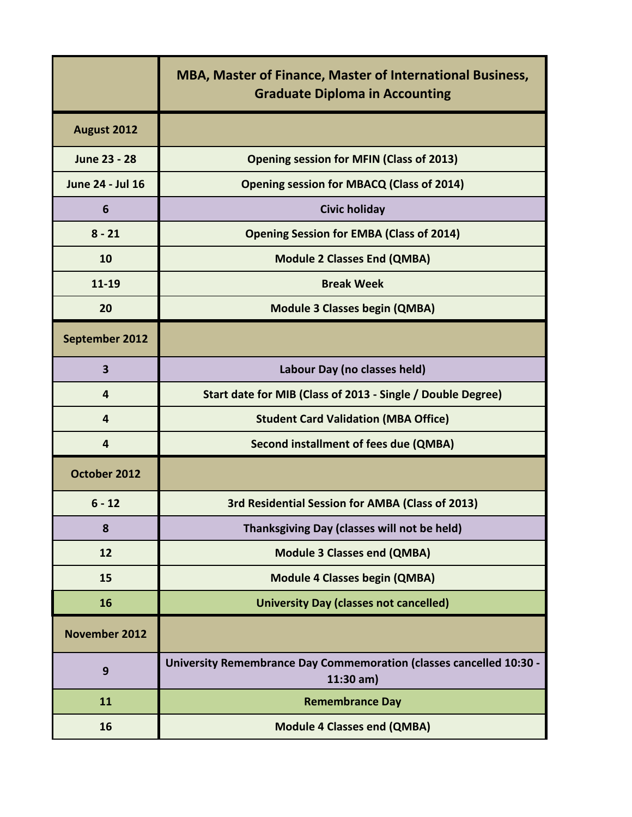|                      | <b>MBA, Master of Finance, Master of International Business,</b><br><b>Graduate Diploma in Accounting</b> |
|----------------------|-----------------------------------------------------------------------------------------------------------|
| August 2012          |                                                                                                           |
| June 23 - 28         | <b>Opening session for MFIN (Class of 2013)</b>                                                           |
| June 24 - Jul 16     | <b>Opening session for MBACQ (Class of 2014)</b>                                                          |
| 6                    | <b>Civic holiday</b>                                                                                      |
| $8 - 21$             | <b>Opening Session for EMBA (Class of 2014)</b>                                                           |
| 10                   | <b>Module 2 Classes End (QMBA)</b>                                                                        |
| 11-19                | <b>Break Week</b>                                                                                         |
| 20                   | <b>Module 3 Classes begin (QMBA)</b>                                                                      |
| September 2012       |                                                                                                           |
| 3                    | Labour Day (no classes held)                                                                              |
| 4                    | Start date for MIB (Class of 2013 - Single / Double Degree)                                               |
| 4                    | <b>Student Card Validation (MBA Office)</b>                                                               |
| 4                    | Second installment of fees due (QMBA)                                                                     |
| October 2012         |                                                                                                           |
| $6 - 12$             | 3rd Residential Session for AMBA (Class of 2013)                                                          |
| 8                    | Thanksgiving Day (classes will not be held)                                                               |
| 12                   | <b>Module 3 Classes end (QMBA)</b>                                                                        |
| 15                   | <b>Module 4 Classes begin (QMBA)</b>                                                                      |
| 16                   | <b>University Day (classes not cancelled)</b>                                                             |
| <b>November 2012</b> |                                                                                                           |
| 9                    | <b>University Remembrance Day Commemoration (classes cancelled 10:30 -</b><br>$11:30$ am)                 |
| 11                   | <b>Remembrance Day</b>                                                                                    |
| 16                   | <b>Module 4 Classes end (QMBA)</b>                                                                        |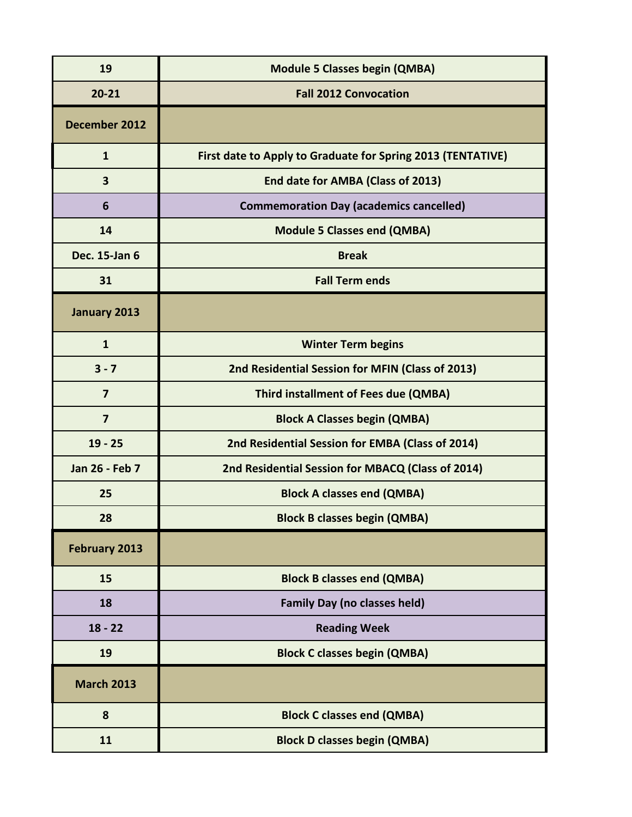| 19                | <b>Module 5 Classes begin (QMBA)</b>                        |
|-------------------|-------------------------------------------------------------|
| $20 - 21$         | <b>Fall 2012 Convocation</b>                                |
| December 2012     |                                                             |
| $\mathbf{1}$      | First date to Apply to Graduate for Spring 2013 (TENTATIVE) |
| 3                 | End date for AMBA (Class of 2013)                           |
| 6                 | <b>Commemoration Day (academics cancelled)</b>              |
| 14                | <b>Module 5 Classes end (QMBA)</b>                          |
| Dec. 15-Jan 6     | <b>Break</b>                                                |
| 31                | <b>Fall Term ends</b>                                       |
| January 2013      |                                                             |
| $\mathbf{1}$      | <b>Winter Term begins</b>                                   |
| $3 - 7$           | 2nd Residential Session for MFIN (Class of 2013)            |
| $\overline{7}$    | Third installment of Fees due (QMBA)                        |
| $\overline{7}$    | <b>Block A Classes begin (QMBA)</b>                         |
| $19 - 25$         | 2nd Residential Session for EMBA (Class of 2014)            |
| Jan 26 - Feb 7    | 2nd Residential Session for MBACQ (Class of 2014)           |
| 25                | <b>Block A classes end (QMBA)</b>                           |
| 28                | <b>Block B classes begin (QMBA)</b>                         |
| February 2013     |                                                             |
| 15                | <b>Block B classes end (QMBA)</b>                           |
| 18                | <b>Family Day (no classes held)</b>                         |
| $18 - 22$         | <b>Reading Week</b>                                         |
| 19                | <b>Block C classes begin (QMBA)</b>                         |
| <b>March 2013</b> |                                                             |
| 8                 | <b>Block C classes end (QMBA)</b>                           |
| 11                | <b>Block D classes begin (QMBA)</b>                         |